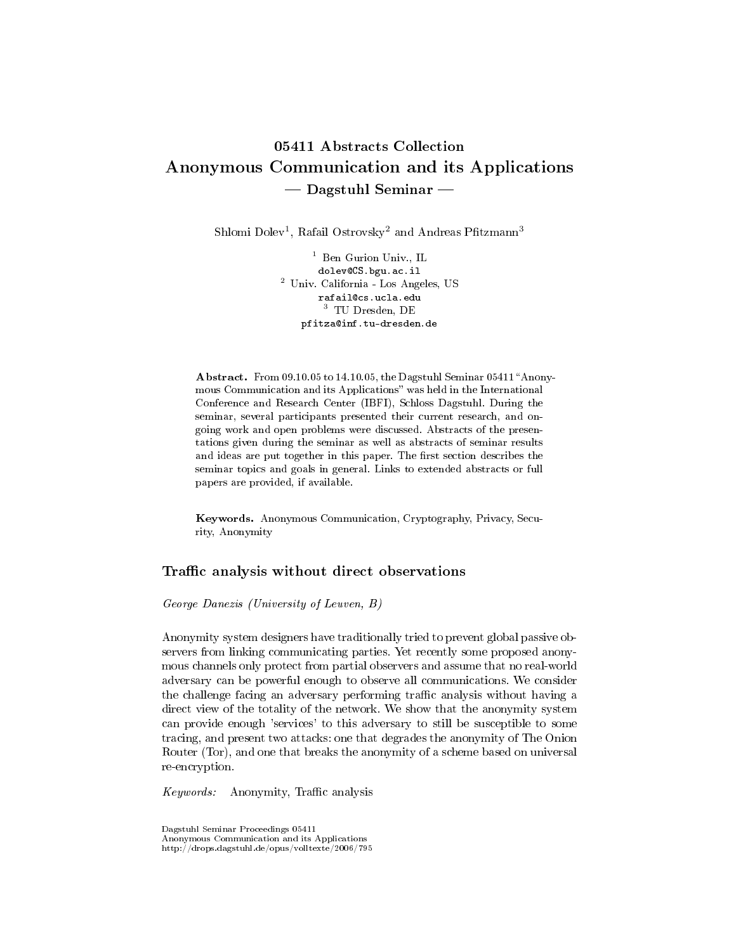# 05411 Abstracts Collection Anonymous Communication and its Applications  $-$  Dagstuhl Seminar  $-$

Shlomi Dolev<sup>1</sup>, Rafail Ostrovsky<sup>2</sup> and Andreas Pfitzmann<sup>3</sup>

<sup>1</sup> Ben Gurion Univ., IL dolev@CS.bgu.ac.il <sup>2</sup> Univ. California - Los Angeles, US rafail@cs.ucla.edu <sup>3</sup> TU Dresden, DE pfitza@inf.tu-dresden.de

Abstract. From 09.10.05 to 14.10.05, the Dagstuhl Seminar 05411 "Anonymous Communication and its Applications" was held in the International Conference and Research Center (IBFI), Schloss Dagstuhl. During the seminar, several participants presented their current research, and ongoing work and open problems were discussed. Abstracts of the presentations given during the seminar as well as abstracts of seminar results and ideas are put together in this paper. The first section describes the seminar topics and goals in general. Links to extended abstracts or full papers are provided, if available.

Keywords. Anonymous Communication, Cryptography, Privacy, Security, Anonymity

### Traffic analysis without direct observations

#### George Danezis (University of Leuven, B)

Anonymity system designers have traditionally tried to prevent global passive observers from linking communicating parties. Yet recently some proposed anonymous channels only protect from partial observers and assume that no real-world adversary can be powerful enough to observe all communications. We consider the challenge facing an adversary performing traffic analysis without having a direct view of the totality of the network. We show that the anonymity system can provide enough 'services' to this adversary to still be susceptible to some tracing, and present two attacks: one that degrades the anonymity of The Onion Router (Tor), and one that breaks the anonymity of a scheme based on universal re-encryption.

Keywords: Anonymity, Traffic analysis

Dagstuhl Seminar Proceedings 05411 Anonymous Communication and its Applications http://drops.dagstuhl.de/opus/volltexte/2006/795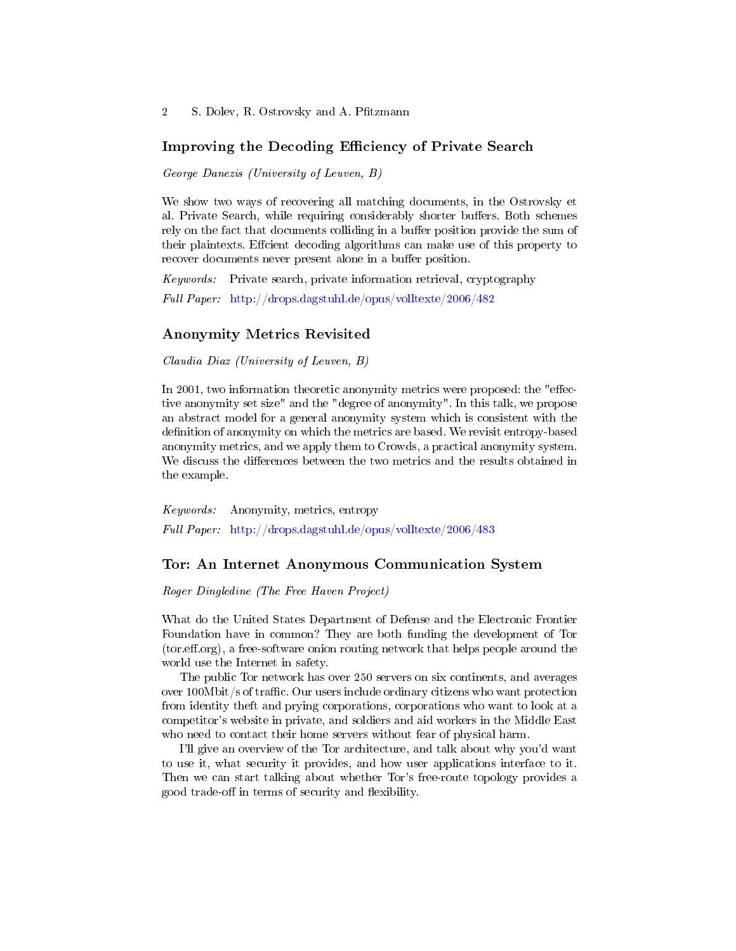### Improving the Decoding Efficiency of Private Search

George Danezis (University of Leuven, B)

We show two ways of recovering all matching documents, in the Ostrovsky et al. Private Search, while requiring considerably shorter buffers. Both schemes rely on the fact that documents colliding in a buffer position provide the sum of their plaintexts. Effcient decoding algorithms can make use of this property to recover documents never present alone in a buffer position.

Keywords: Private search, private information retrieval, cryptography Full Paper: <http://drops.dagstuhl.de/opus/volltexte/2006/482>

#### Anonymity Metrics Revisited

Claudia Diaz (University of Leuven, B)

In 2001, two information theoretic anonymity metrics were proposed: the "effective anonymity set size" and the "degree of anonymity". In this talk, we propose an abstract model for a general anonymity system which is consistent with the definition of anonymity on which the metrics are based. We revisit entropy-based anonymity metrics, and we apply them to Crowds, a practical anonymity system. We discuss the differences between the two metrics and the results obtained in the example.

Keywords: Anonymity, metrics, entropy Full Paper: <http://drops.dagstuhl.de/opus/volltexte/2006/483>

### Tor: An Internet Anonymous Communication System

Roger Dingledine (The Free Haven Project)

What do the United States Department of Defense and the Electronic Frontier Foundation have in common? They are both funding the development of Tor  $(tor.eff.org)$ , a free-software onion routing network that helps people around the world use the Internet in safety.

The public Tor network has over 250 servers on six continents, and averages over  $100M$  bit /s of traffic. Our users include ordinary citizens who want protection from identity theft and prying corporations, corporations who want to look at a competitor's website in private, and soldiers and aid workers in the Middle East who need to contact their home servers without fear of physical harm.

I'll give an overview of the Tor architecture, and talk about why you'd want to use it, what security it provides, and how user applications interface to it. Then we can start talking about whether Tor's free-route topology provides a good trade-off in terms of security and flexibility.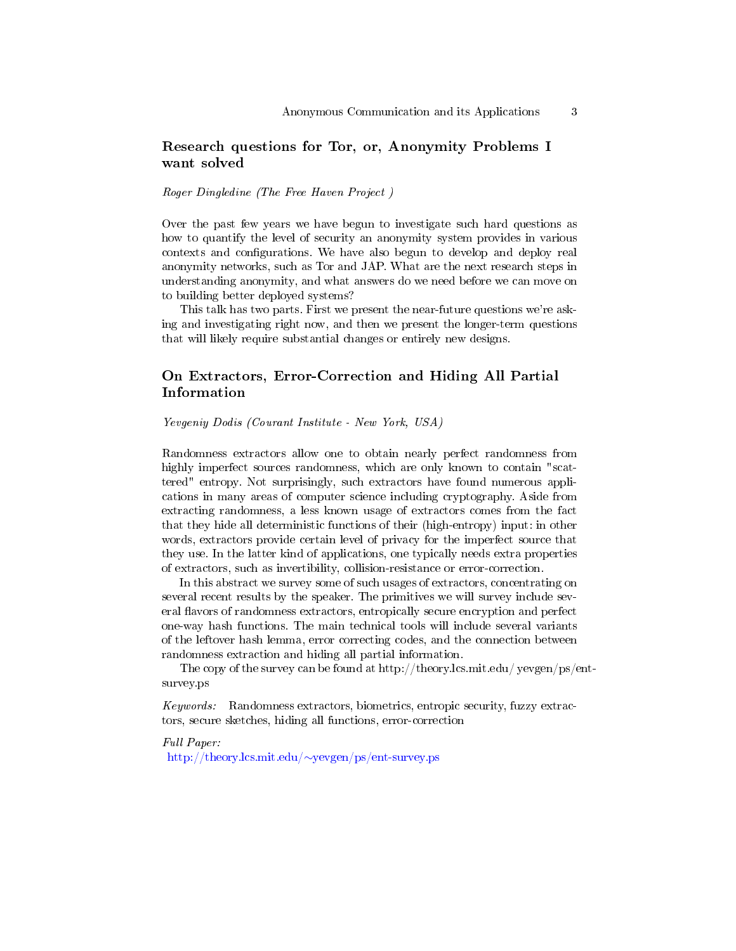# Research questions for Tor, or, Anonymity Problems I want solved

Roger Dingledine (The Free Haven Project )

Over the past few years we have begun to investigate such hard questions as how to quantify the level of security an anonymity system provides in various contexts and configurations. We have also begun to develop and deploy real anonymity networks, such as Tor and JAP. What are the next research steps in understanding anonymity, and what answers do we need before we can move on to building better deployed systems?

This talk has two parts. First we present the near-future questions we're asking and investigating right now, and then we present the longer-term questions that will likely require substantial changes or entirely new designs.

# On Extractors, Error-Correction and Hiding All Partial Information

Yevgeniy Dodis (Courant Institute - New York, USA)

Randomness extractors allow one to obtain nearly perfect randomness from highly imperfect sources randomness, which are only known to contain "scattered" entropy. Not surprisingly, such extractors have found numerous applications in many areas of computer science including cryptography. Aside from extracting randomness, a less known usage of extractors comes from the fact that they hide all deterministic functions of their (high-entropy) input: in other words, extractors provide certain level of privacy for the imperfect source that they use. In the latter kind of applications, one typically needs extra properties of extractors, such as invertibility, collision-resistance or error-correction.

In this abstract we survey some of such usages of extractors, concentrating on several recent results by the speaker. The primitives we will survey include several flavors of randomness extractors, entropically secure encryption and perfect one-way hash functions. The main technical tools will include several variants of the leftover hash lemma, error correcting codes, and the connection between randomness extraction and hiding all partial information.

The copy of the survey can be found at http://theory.lcs.mit.edu/ yevgen/ps/entsurvey.ps

Keywords: Randomness extractors, biometrics, entropic security, fuzzy extractors, secure sketches, hiding all functions, error-correction

Full Paper: [http://theory.lcs.mit.edu/](http://theory.lcs.mit.edu/~yevgen/ps/ent-survey.ps)∼yevgen/ps/ent-survey.ps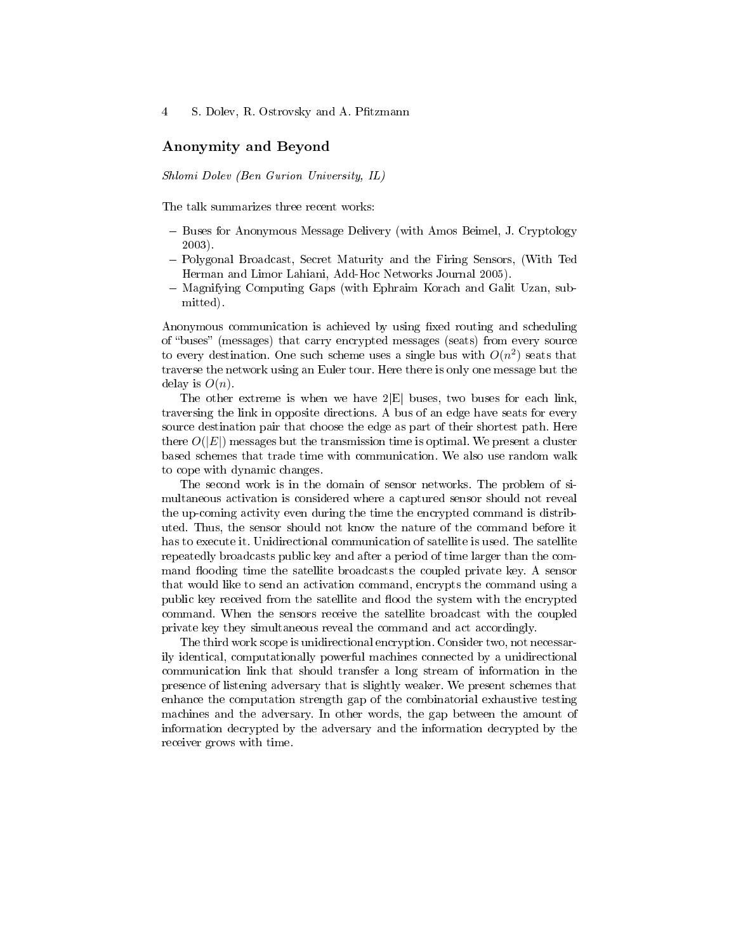### Anonymity and Beyond

Shlomi Dolev (Ben Gurion University, IL)

The talk summarizes three recent works:

- Buses for Anonymous Message Delivery (with Amos Beimel, J. Cryptology 2003).
- Polygonal Broadcast, Secret Maturity and the Firing Sensors, (With Ted Herman and Limor Lahiani, Add-Hoc Networks Journal 2005).
- Magnifying Computing Gaps (with Ephraim Korach and Galit Uzan, submitted).

Anonymous communication is achieved by using fixed routing and scheduling of "buses" (messages) that carry encrypted messages (seats) from every source to every destination. One such scheme uses a single bus with  $O(n^2)$  seats that traverse the network using an Euler tour. Here there is only one message but the delay is  $O(n)$ .

The other extreme is when we have  $2|E|$  buses, two buses for each link, traversing the link in opposite directions. A bus of an edge have seats for every source destination pair that choose the edge as part of their shortest path. Here there  $O(|E|)$  messages but the transmission time is optimal. We present a cluster based schemes that trade time with communication. We also use random walk to cope with dynamic changes.

The second work is in the domain of sensor networks. The problem of simultaneous activation is considered where a captured sensor should not reveal the up-coming activity even during the time the encrypted command is distributed. Thus, the sensor should not know the nature of the command before it has to execute it. Unidirectional communication of satellite is used. The satellite repeatedly broadcasts public key and after a period of time larger than the command flooding time the satellite broadcasts the coupled private key. A sensor that would like to send an activation command, encrypts the command using a public key received from the satellite and flood the system with the encrypted command. When the sensors receive the satellite broadcast with the coupled private key they simultaneous reveal the command and act accordingly.

The third work scope is unidirectional encryption. Consider two, not necessarily identical, computationally powerful machines connected by a unidirectional communication link that should transfer a long stream of information in the presence of listening adversary that is slightly weaker. We present schemes that enhance the computation strength gap of the combinatorial exhaustive testing machines and the adversary. In other words, the gap between the amount of information decrypted by the adversary and the information decrypted by the receiver grows with time.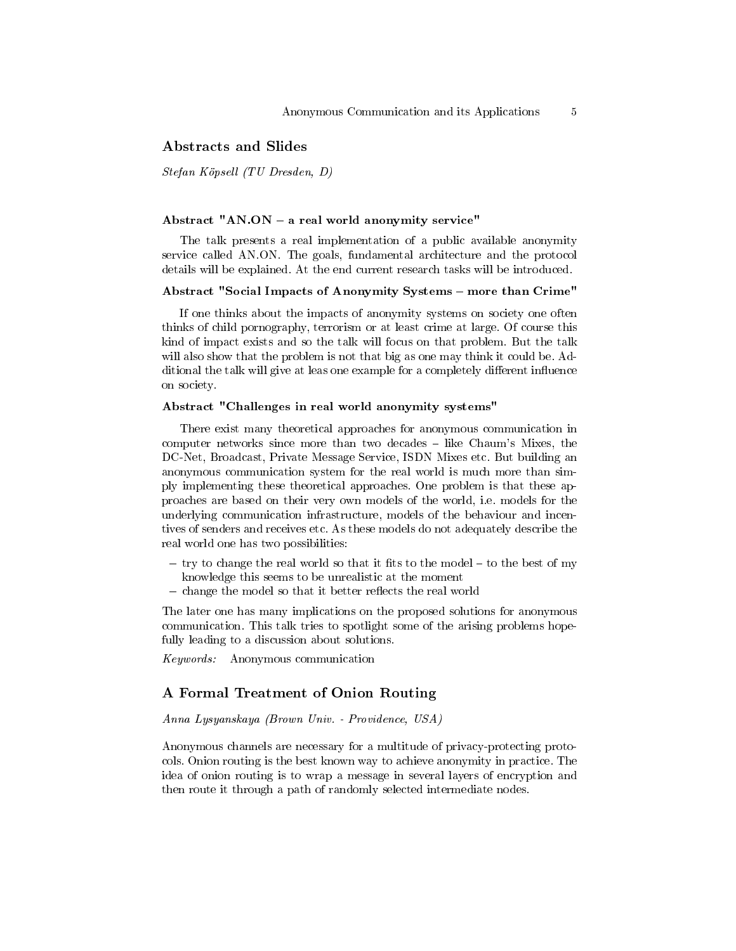#### Abstracts and Slides

Stefan Köpsell (TU Dresden, D)

#### Abstract "AN.ON  $-$  a real world anonymity service"

The talk presents a real implementation of a public available anonymity service called AN.ON. The goals, fundamental architecture and the protocol details will be explained. At the end current research tasks will be introduced.

#### Abstract "Social Impacts of Anonymity Systems - more than Crime"

If one thinks about the impacts of anonymity systems on society one often thinks of child pornography, terrorism or at least crime at large. Of course this kind of impact exists and so the talk will focus on that problem. But the talk will also show that the problem is not that big as one may think it could be. Additional the talk will give at leas one example for a completely different influence on society.

#### Abstract "Challenges in real world anonymity systems"

There exist many theoretical approaches for anonymous communication in computer networks since more than two decades  $-$  like Chaum's Mixes, the DC-Net, Broadcast, Private Message Service, ISDN Mixes etc. But building an anonymous communication system for the real world is much more than simply implementing these theoretical approaches. One problem is that these approaches are based on their very own models of the world, i.e. models for the underlying communication infrastructure, models of the behaviour and incentives of senders and receives etc. As these models do not adequately describe the real world one has two possibilities:

- $-$  try to change the real world so that it fits to the model  $-$  to the best of my knowledge this seems to be unrealistic at the moment
- change the model so that it better reflects the real world

The later one has many implications on the proposed solutions for anonymous communication. This talk tries to spotlight some of the arising problems hopefully leading to a discussion about solutions.

Keywords: Anonymous communication

#### A Formal Treatment of Onion Routing

Anna Lysyanskaya (Brown Univ. - Providence, USA)

Anonymous channels are necessary for a multitude of privacy-protecting protocols. Onion routing is the best known way to achieve anonymity in practice. The idea of onion routing is to wrap a message in several layers of encryption and then route it through a path of randomly selected intermediate nodes.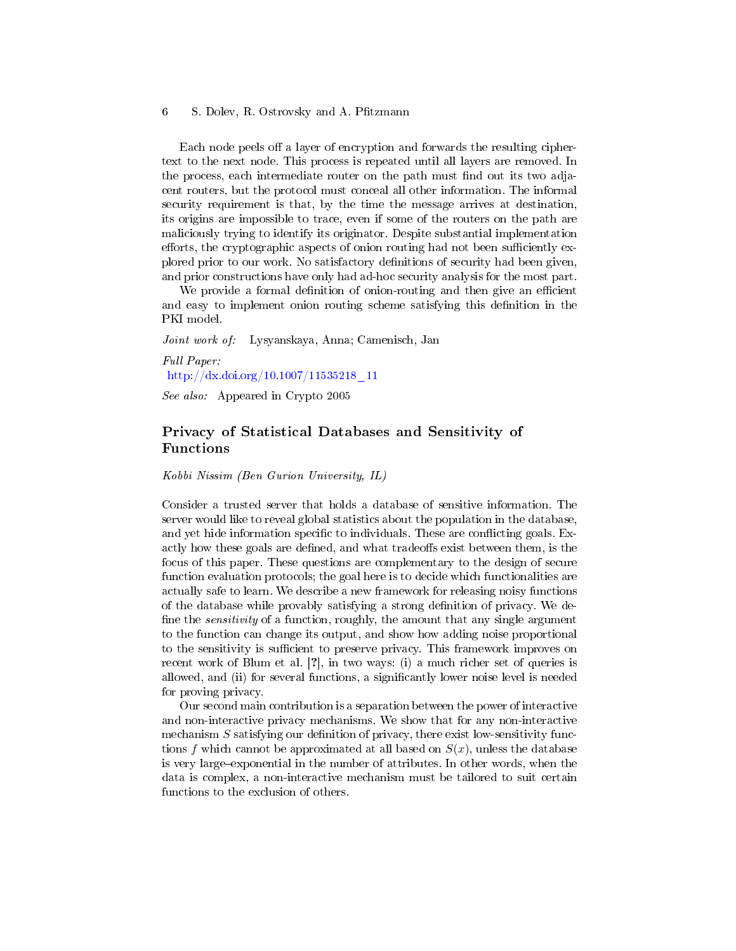Each node peels off a layer of encryption and forwards the resulting ciphertext to the next node. This process is repeated until all layers are removed. In the process, each intermediate router on the path must find out its two adjacent routers, but the protocol must conceal all other information. The informal security requirement is that, by the time the message arrives at destination, its origins are impossible to trace, even if some of the routers on the path are maliciously trying to identify its originator. Despite substantial implementation efforts, the cryptographic aspects of onion routing had not been sufficiently explored prior to our work. No satisfactory denitions of security had been given, and prior constructions have only had ad-hoc security analysis for the most part.

We provide a formal definition of onion-routing and then give an efficient and easy to implement onion routing scheme satisfying this definition in the PKI model.

Joint work of: Lysyanskaya, Anna; Camenisch, Jan

Full Paper: [http://dx.doi.org/10.1007/11535218\\_11](http://dx.doi.org/10.1007/11535218_11)

See also: Appeared in Crypto 2005

# Privacy of Statistical Databases and Sensitivity of Functions

Kobbi Nissim (Ben Gurion University, IL)

Consider a trusted server that holds a database of sensitive information. The server would like to reveal global statistics about the population in the database, and yet hide information specific to individuals. These are conflicting goals. Exactly how these goals are defined, and what tradeoffs exist between them, is the focus of this paper. These questions are complementary to the design of secure function evaluation protocols; the goal here is to decide which functionalities are actually safe to learn. We describe a new framework for releasing noisy functions of the database while provably satisfying a strong denition of privacy. We de fine the *sensitivity* of a function, roughly, the amount that any single argument to the function can change its output, and show how adding noise proportional to the sensitivity is sufficient to preserve privacy. This framework improves on recent work of Blum et al. [?], in two ways: (i) a much richer set of queries is allowed, and (ii) for several functions, a significantly lower noise level is needed for proving privacy.

Our second main contribution is a separation between the power of interactive and non-interactive privacy mechanisms. We show that for any non-interactive mechanism  $S$  satisfying our definition of privacy, there exist low-sensitivity functions f which cannot be approximated at all based on  $S(x)$ , unless the database is very large-exponential in the number of attributes. In other words, when the data is complex, a non-interactive mechanism must be tailored to suit certain functions to the exclusion of others.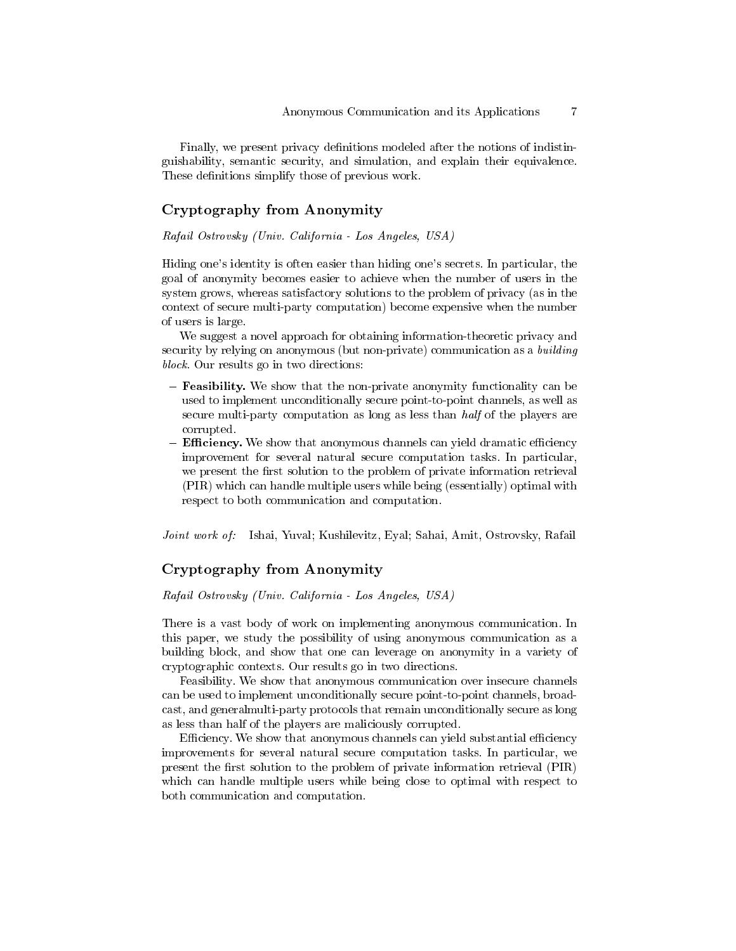Finally, we present privacy denitions modeled after the notions of indistinguishability, semantic security, and simulation, and explain their equivalence. These definitions simplify those of previous work.

# Cryptography from Anonymity

Rafail Ostrovsky (Univ. California - Los Angeles, USA)

Hiding one's identity is often easier than hiding one's secrets. In particular, the goal of anonymity becomes easier to achieve when the number of users in the system grows, whereas satisfactory solutions to the problem of privacy (as in the context of secure multi-party computation) become expensive when the number of users is large.

We suggest a novel approach for obtaining information-theoretic privacy and security by relying on anonymous (but non-private) communication as a *building* block. Our results go in two directions:

- **Feasibility.** We show that the non-private anonymity functionality can be used to implement unconditionally secure point-to-point channels, as well as secure multi-party computation as long as less than half of the players are corrupted.
- Efficiency. We show that anonymous channels can yield dramatic efficiency improvement for several natural secure computation tasks. In particular, we present the first solution to the problem of private information retrieval (PIR) which can handle multiple users while being (essentially) optimal with respect to both communication and computation.

Joint work of: Ishai, Yuval; Kushilevitz, Eyal; Sahai, Amit, Ostrovsky, Rafail

# Cryptography from Anonymity

Rafail Ostrovsky (Univ. California - Los Angeles, USA)

There is a vast body of work on implementing anonymous communication. In this paper, we study the possibility of using anonymous communication as a building block, and show that one can leverage on anonymity in a variety of cryptographic contexts. Our results go in two directions.

Feasibility. We show that anonymous communication over insecure channels can be used to implement unconditionally secure point-to-point channels, broadcast, and generalmulti-party protocols that remain unconditionally secure as long as less than half of the players are maliciously corrupted.

Efficiency. We show that anonymous channels can yield substantial efficiency improvements for several natural secure computation tasks. In particular, we present the first solution to the problem of private information retrieval (PIR) which can handle multiple users while being close to optimal with respect to both communication and computation.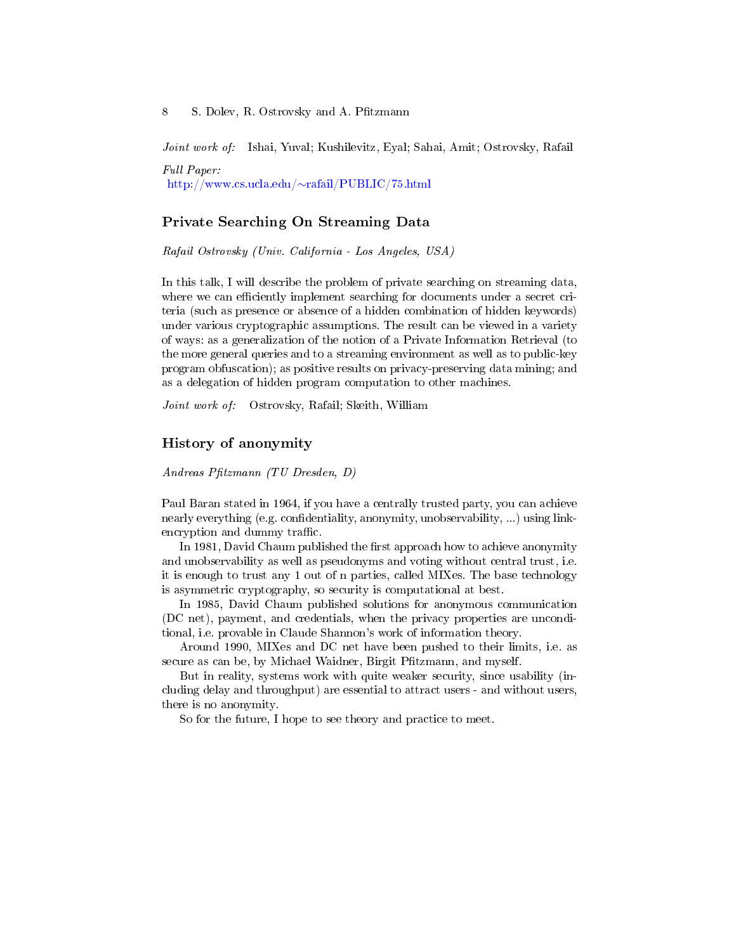Joint work of: Ishai, Yuval; Kushilevitz, Eyal; Sahai, Amit; Ostrovsky, Rafail

Full Paper: [http://www.cs.ucla.edu/](http://www.cs.ucla.edu/~rafail/PUBLIC/75.html)∼rafail/PUBLIC/75.html

### Private Searching On Streaming Data

Rafail Ostrovsky (Univ. California - Los Angeles, USA)

In this talk, I will describe the problem of private searching on streaming data, where we can efficiently implement searching for documents under a secret criteria (such as presence or absence of a hidden combination of hidden keywords) under various cryptographic assumptions. The result can be viewed in a variety of ways: as a generalization of the notion of a Private Information Retrieval (to the more general queries and to a streaming environment as well as to public-key program obfuscation); as positive results on privacy-preserving data mining; and as a delegation of hidden program computation to other machines.

Joint work of: Ostrovsky, Rafail; Skeith, William

### History of anonymity

Andreas Pfitzmann (TU Dresden, D)

Paul Baran stated in 1964, if you have a centrally trusted party, you can achieve nearly everything (e.g. confidentiality, anonymity, unobservability, ...) using linkencryption and dummy traffic.

In 1981, David Chaum published the first approach how to achieve anonymity and unobservability as well as pseudonyms and voting without central trust, i.e. it is enough to trust any 1 out of n parties, called MIXes. The base technology is asymmetric cryptography, so security is computational at best.

In 1985, David Chaum published solutions for anonymous communication (DC net), payment, and credentials, when the privacy properties are unconditional, i.e. provable in Claude Shannon's work of information theory.

Around 1990, MIXes and DC net have been pushed to their limits, i.e. as secure as can be, by Michael Waidner, Birgit Pfitzmann, and myself.

But in reality, systems work with quite weaker security, since usability (including delay and throughput) are essential to attract users - and without users, there is no anonymity.

So for the future, I hope to see theory and practice to meet.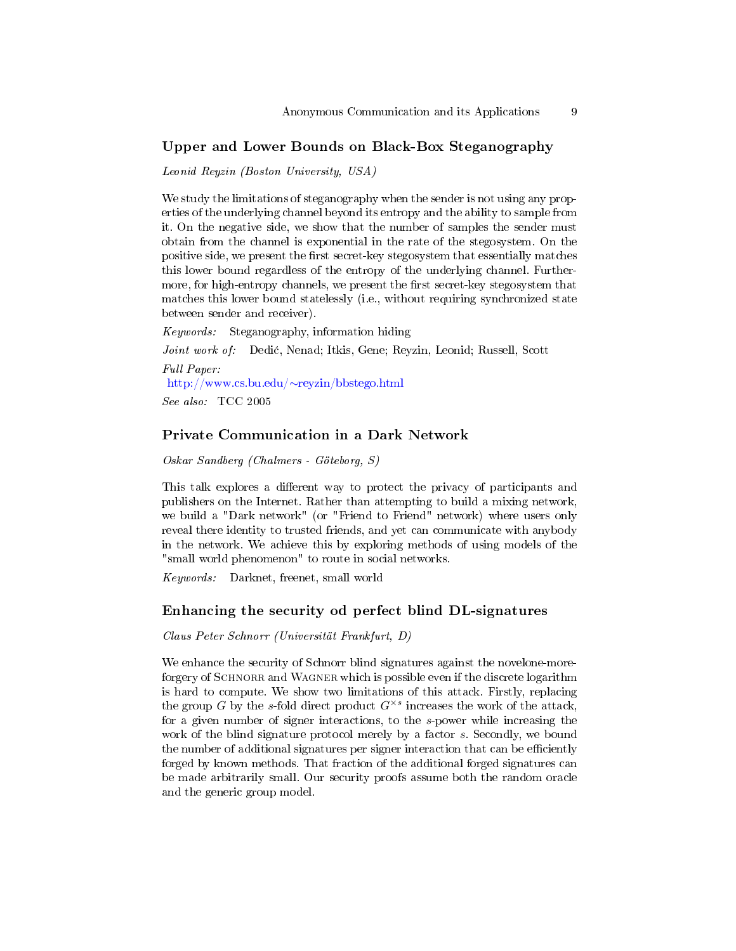### Upper and Lower Bounds on Black-Box Steganography

Leonid Reyzin (Boston University, USA)

We study the limitations of steganography when the sender is not using any properties of the underlying channel beyond its entropy and the ability to sample from it. On the negative side, we show that the number of samples the sender must obtain from the channel is exponential in the rate of the stegosystem. On the positive side, we present the first secret-key stegosystem that essentially matches this lower bound regardless of the entropy of the underlying channel. Furthermore, for high-entropy channels, we present the first secret-key stegosystem that matches this lower bound statelessly (i.e., without requiring synchronized state between sender and receiver).

Keywords: Steganography, information hiding Joint work of: Dedi¢, Nenad; Itkis, Gene; Reyzin, Leonid; Russell, Scott Full Paper: [http://www.cs.bu.edu/](http://www.cs.bu.edu/~reyzin/bbstego.html)∼reyzin/bbstego.html See also: TCC 2005

# Private Communication in a Dark Network

Oskar Sandberg (Chalmers - Göteborg, S)

This talk explores a different way to protect the privacy of participants and publishers on the Internet. Rather than attempting to build a mixing network, we build a "Dark network" (or "Friend to Friend" network) where users only reveal there identity to trusted friends, and yet can communicate with anybody in the network. We achieve this by exploring methods of using models of the "small world phenomenon" to route in social networks.

Keywords: Darknet, freenet, small world

### Enhancing the security od perfect blind DL-signatures

Claus Peter Schnorr (Universität Frankfurt, D)

We enhance the security of Schnorr blind signatures against the novelone-moreforgery of SCHNORR and WAGNER which is possible even if the discrete logarithm is hard to compute. We show two limitations of this attack. Firstly, replacing the group G by the s-fold direct product  $G^{\times s}$  increases the work of the attack, for a given number of signer interactions, to the s-power while increasing the work of the blind signature protocol merely by a factor s. Secondly, we bound the number of additional signatures per signer interaction that can be efficiently forged by known methods. That fraction of the additional forged signatures can be made arbitrarily small. Our security proofs assume both the random oracle and the generic group model.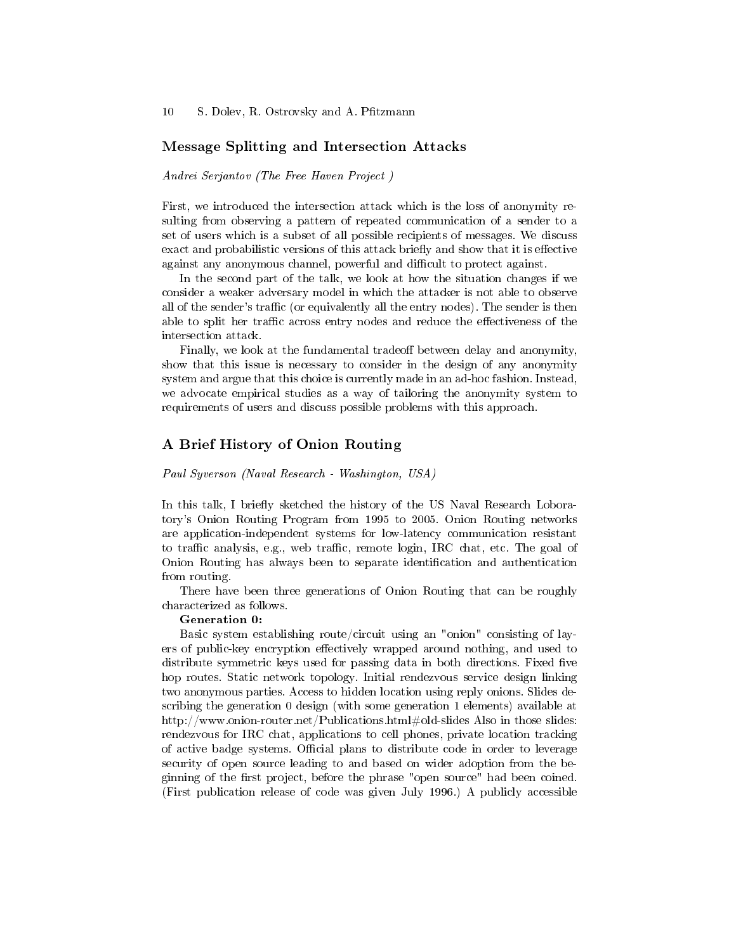#### Message Splitting and Intersection Attacks

Andrei Serjantov (The Free Haven Project )

First, we introduced the intersection attack which is the loss of anonymity resulting from observing a pattern of repeated communication of a sender to a set of users which is a subset of all possible recipients of messages. We discuss exact and probabilistic versions of this attack briefly and show that it is effective against any anonymous channel, powerful and difficult to protect against.

In the second part of the talk, we look at how the situation changes if we consider a weaker adversary model in which the attacker is not able to observe all of the sender's traffic (or equivalently all the entry nodes). The sender is then able to split her traffic across entry nodes and reduce the effectiveness of the intersection attack.

Finally, we look at the fundamental tradeoff between delay and anonymity, show that this issue is necessary to consider in the design of any anonymity system and argue that this choice is currently made in an ad-hoc fashion. Instead, we advocate empirical studies as a way of tailoring the anonymity system to requirements of users and discuss possible problems with this approach.

### A Brief History of Onion Routing

#### Paul Syverson (Naval Research - Washington, USA)

In this talk, I briefly sketched the history of the US Naval Research Loboratory's Onion Routing Program from 1995 to 2005. Onion Routing networks are application-independent systems for low-latency communication resistant to traffic analysis, e.g., web traffic, remote login, IRC chat, etc. The goal of Onion Routing has always been to separate identication and authentication from routing.

There have been three generations of Onion Routing that can be roughly characterized as follows.

#### Generation 0:

Basic system establishing route/circuit using an "onion" consisting of layers of public-key encryption effectively wrapped around nothing, and used to distribute symmetric keys used for passing data in both directions. Fixed five hop routes. Static network topology. Initial rendezvous service design linking two anonymous parties. Access to hidden location using reply onions. Slides describing the generation 0 design (with some generation 1 elements) available at http://www.onion-router.net/Publications.html#old-slides Also in those slides: rendezvous for IRC chat, applications to cell phones, private location tracking of active badge systems. Official plans to distribute code in order to leverage security of open source leading to and based on wider adoption from the beginning of the first project, before the phrase "open source" had been coined. (First publication release of code was given July 1996.) A publicly accessible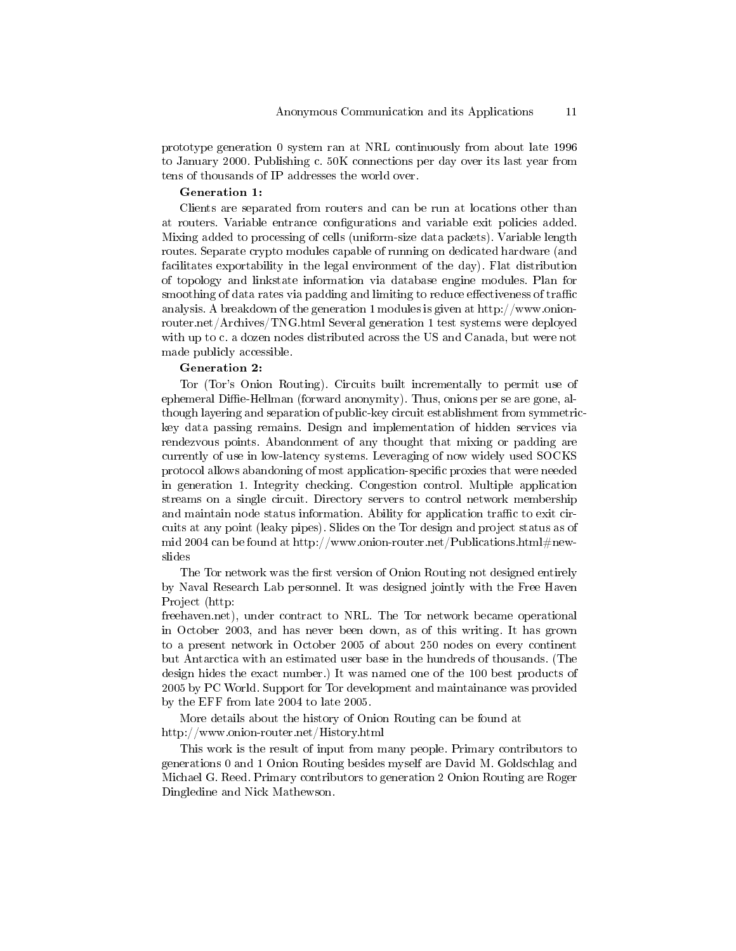prototype generation 0 system ran at NRL continuously from about late 1996 to January 2000. Publishing c. 50K connections per day over its last year from tens of thousands of IP addresses the world over.

#### Generation 1:

Clients are separated from routers and can be run at locations other than at routers. Variable entrance congurations and variable exit policies added. Mixing added to processing of cells (uniform-size data packets). Variable length routes. Separate crypto modules capable of running on dedicated hardware (and facilitates exportability in the legal environment of the day). Flat distribution of topology and linkstate information via database engine modules. Plan for smoothing of data rates via padding and limiting to reduce effectiveness of traffic analysis. A breakdown of the generation 1 modules is given at http://www.onionrouter.net/Archives/TNG.html Several generation 1 test systems were deployed with up to c. a dozen nodes distributed across the US and Canada, but were not made publicly accessible.

#### Generation 2:

Tor (Tor's Onion Routing). Circuits built incrementally to permit use of ephemeral Diffie-Hellman (forward anonymity). Thus, onions per se are gone, although layering and separation of public-key circuit establishment from symmetrickey data passing remains. Design and implementation of hidden services via rendezvous points. Abandonment of any thought that mixing or padding are currently of use in low-latency systems. Leveraging of now widely used SOCKS protocol allows abandoning of most application-specific proxies that were needed in generation 1. Integrity checking. Congestion control. Multiple application streams on a single circuit. Directory servers to control network membership and maintain node status information. Ability for application traffic to exit circuits at any point (leaky pipes). Slides on the Tor design and project status as of mid 2004 can be found at http://www.onion-router.net/Publications.html  $\#new$ slides

The Tor network was the first version of Onion Routing not designed entirely by Naval Research Lab personnel. It was designed jointly with the Free Haven Project (http:

freehaven.net), under contract to NRL. The Tor network became operational in October 2003, and has never been down, as of this writing. It has grown to a present network in October 2005 of about 250 nodes on every continent but Antarctica with an estimated user base in the hundreds of thousands. (The design hides the exact number.) It was named one of the 100 best products of 2005 by PC World. Support for Tor development and maintainance was provided by the EFF from late 2004 to late 2005.

More details about the history of Onion Routing can be found at http://www.onion-router.net/History.html

This work is the result of input from many people. Primary contributors to generations 0 and 1 Onion Routing besides myself are David M. Goldschlag and Michael G. Reed. Primary contributors to generation 2 Onion Routing are Roger Dingledine and Nick Mathewson.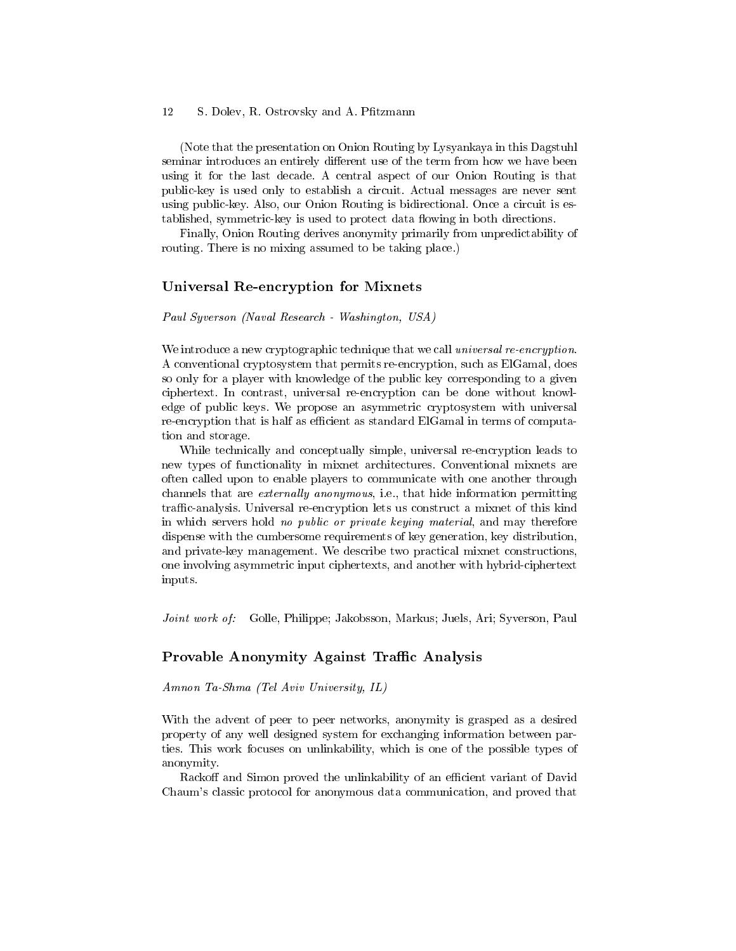(Note that the presentation on Onion Routing by Lysyankaya in this Dagstuhl seminar introduces an entirely different use of the term from how we have been using it for the last decade. A central aspect of our Onion Routing is that public-key is used only to establish a circuit. Actual messages are never sent using public-key. Also, our Onion Routing is bidirectional. Once a circuit is established, symmetric-key is used to protect data flowing in both directions.

Finally, Onion Routing derives anonymity primarily from unpredictability of routing. There is no mixing assumed to be taking place.)

### Universal Re-encryption for Mixnets

### Paul Syverson (Naval Research - Washington, USA)

We introduce a new cryptographic technique that we call *universal re-encryption*. A conventional cryptosystem that permits re-encryption, such as ElGamal, does so only for a player with knowledge of the public key corresponding to a given ciphertext. In contrast, universal re-encryption can be done without knowledge of public keys. We propose an asymmetric cryptosystem with universal re-encryption that is half as efficient as standard ElGamal in terms of computation and storage.

While technically and conceptually simple, universal re-encryption leads to new types of functionality in mixnet architectures. Conventional mixnets are often called upon to enable players to communicate with one another through channels that are externally anonymous, i.e., that hide information permitting traffic-analysis. Universal re-encryption lets us construct a mixnet of this kind in which servers hold no public or private keying material, and may therefore dispense with the cumbersome requirements of key generation, key distribution, and private-key management. We describe two practical mixnet constructions, one involving asymmetric input ciphertexts, and another with hybrid-ciphertext inputs.

Joint work of: Golle, Philippe; Jakobsson, Markus; Juels, Ari; Syverson, Paul

### Provable Anonymity Against Traffic Analysis

Amnon Ta-Shma (Tel Aviv University, IL)

With the advent of peer to peer networks, anonymity is grasped as a desired property of any well designed system for exchanging information between parties. This work focuses on unlinkability, which is one of the possible types of anonymity.

Rackoff and Simon proved the unlinkability of an efficient variant of David Chaum's classic protocol for anonymous data communication, and proved that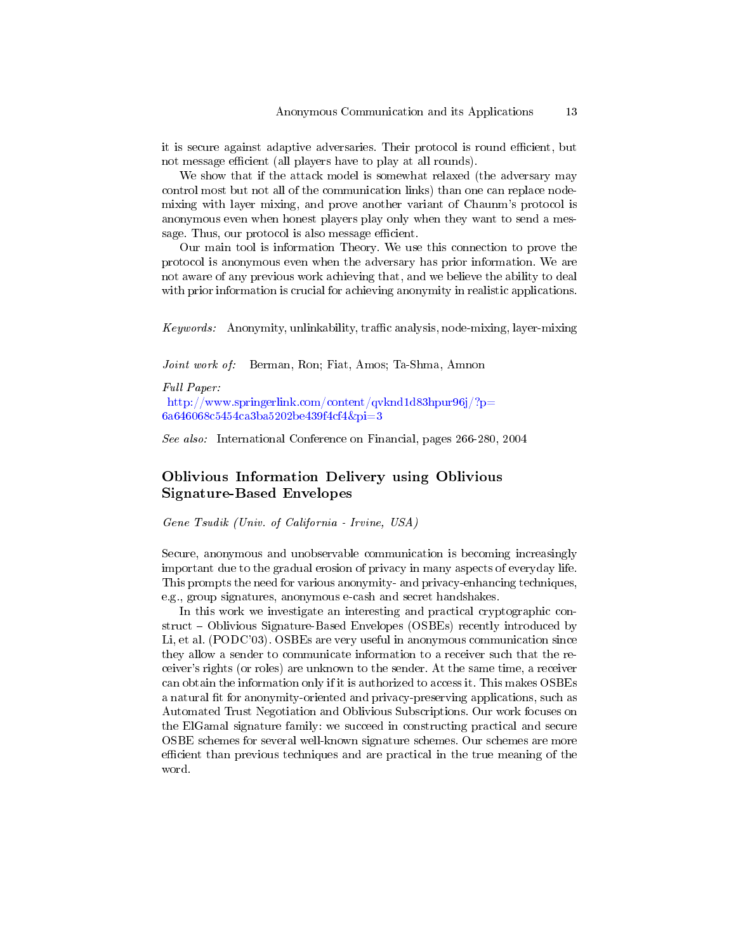it is secure against adaptive adversaries. Their protocol is round efficient, but not message efficient (all players have to play at all rounds).

We show that if the attack model is somewhat relaxed (the adversary may control most but not all of the communication links) than one can replace nodemixing with layer mixing, and prove another variant of Chaunm's protocol is anonymous even when honest players play only when they want to send a message. Thus, our protocol is also message efficient.

Our main tool is information Theory. We use this connection to prove the protocol is anonymous even when the adversary has prior information. We are not aware of any previous work achieving that, and we believe the ability to deal with prior information is crucial for achieving anonymity in realistic applications.

 $Keywords:$  Anonymity, unlinkability, traffic analysis, node-mixing, layer-mixing

Joint work of: Berman, Ron; Fiat, Amos; Ta-Shma, Amnon

Full Paper:

[http://www.springerlink.com/content/qvknd1d83hpur96j/?p=](http://www.springerlink.com/content/qvknd1d83hpur96j/?p=6a646068c5454ca3ba5202be439f4cf4&pi=3) [6a646068c5454ca3ba5202be439f4cf4&pi=3](http://www.springerlink.com/content/qvknd1d83hpur96j/?p=6a646068c5454ca3ba5202be439f4cf4&pi=3)

See also: International Conference on Financial, pages 266-280, 2004

# Oblivious Information Delivery using Oblivious Signature-Based Envelopes

Gene Tsudik (Univ. of California - Irvine, USA)

Secure, anonymous and unobservable communication is becoming increasingly important due to the gradual erosion of privacy in many aspects of everyday life. This prompts the need for various anonymity- and privacy-enhancing techniques, e.g., group signatures, anonymous e-cash and secret handshakes.

In this work we investigate an interesting and practical cryptographic construct - Oblivious Signature-Based Envelopes (OSBEs) recently introduced by Li, et al. (PODC'03). OSBEs are very useful in anonymous communication since they allow a sender to communicate information to a receiver such that the receiver's rights (or roles) are unknown to the sender. At the same time, a receiver can obtain the information only if it is authorized to access it. This makes OSBEs a natural fit for anonymity-oriented and privacy-preserving applications, such as Automated Trust Negotiation and Oblivious Subscriptions. Our work focuses on the ElGamal signature family: we succeed in constructing practical and secure OSBE schemes for several well-known signature schemes. Our schemes are more efficient than previous techniques and are practical in the true meaning of the word.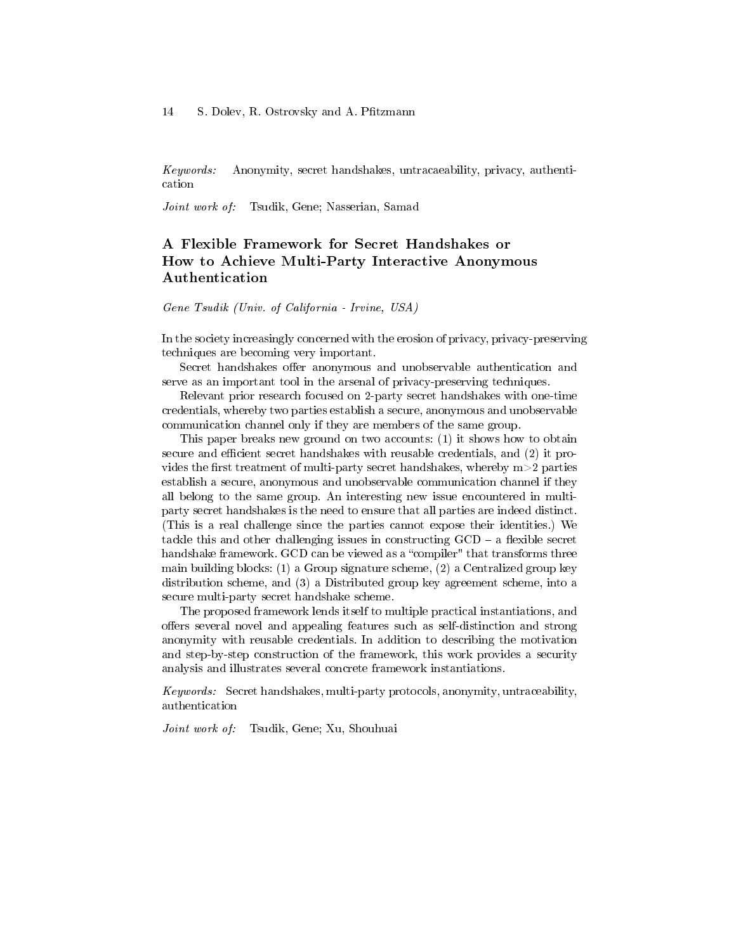Keywords: Anonymity, secret handshakes, untracaeability, privacy, authentication

Joint work of: Tsudik, Gene; Nasserian, Samad

# A Flexible Framework for Secret Handshakes or How to Achieve Multi-Party Interactive Anonymous Authentication

Gene Tsudik (Univ. of California - Irvine, USA)

In the society increasingly concerned with the erosion of privacy, privacy-preserving techniques are becoming very important.

Secret handshakes offer anonymous and unobservable authentication and serve as an important tool in the arsenal of privacy-preserving techniques.

Relevant prior research focused on 2-party secret handshakes with one-time credentials, whereby two parties establish a secure, anonymous and unobservable communication channel only if they are members of the same group.

This paper breaks new ground on two accounts: (1) it shows how to obtain secure and efficient secret handshakes with reusable credentials, and (2) it provides the first treatment of multi-party secret handshakes, whereby  $m>2$  parties establish a secure, anonymous and unobservable communication channel if they all belong to the same group. An interesting new issue encountered in multiparty secret handshakes is the need to ensure that all parties are indeed distinct. (This is a real challenge since the parties cannot expose their identities.) We tackle this and other challenging issues in constructing  $GCD - a$  flexible secret handshake framework. GCD can be viewed as a "compiler" that transforms three main building blocks: (1) a Group signature scheme, (2) a Centralized group key distribution scheme, and (3) a Distributed group key agreement scheme, into a secure multi-party secret handshake scheme.

The proposed framework lends itself to multiple practical instantiations, and offers several novel and appealing features such as self-distinction and strong anonymity with reusable credentials. In addition to describing the motivation and step-by-step construction of the framework, this work provides a security analysis and illustrates several concrete framework instantiations.

Keywords: Secret handshakes, multi-party protocols, anonymity, untraceability, authentication

Joint work of: Tsudik, Gene; Xu, Shouhuai